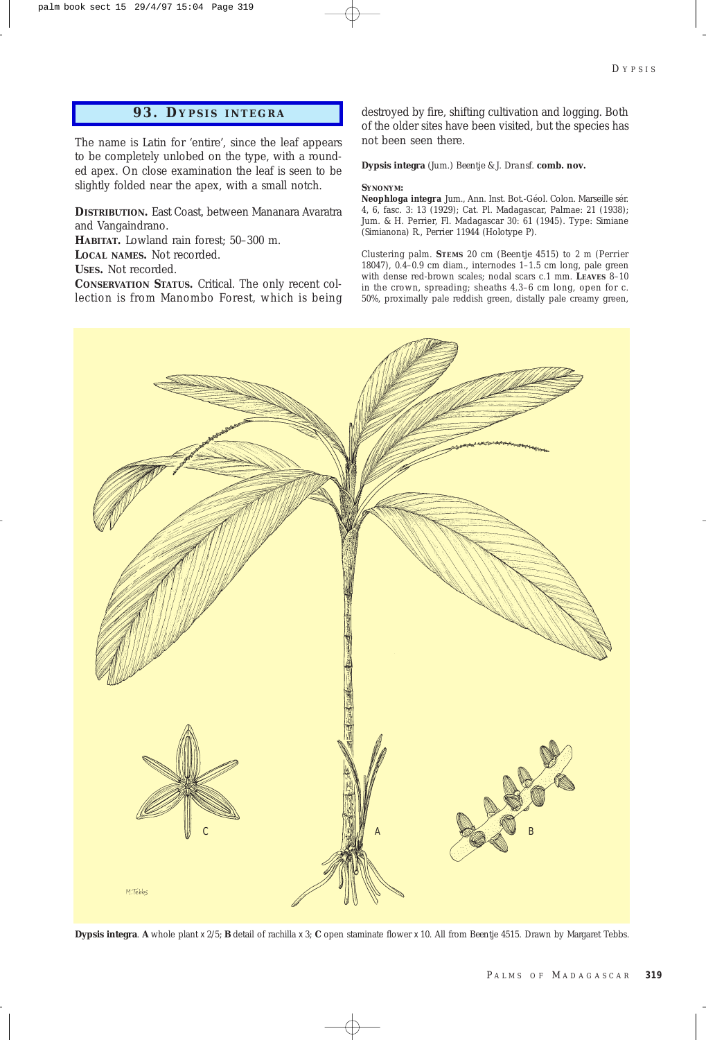## **93. D YPSIS INTEGRA**

The name is Latin for 'entire', since the leaf appears to be completely unlobed on the type, with a rounded apex. On close examination the leaf is seen to be slightly folded near the apex, with a small notch.

**DISTRIBUTION.** East Coast, between Mananara Avaratra and Vangaindrano.

**HABITAT.** Lowland rain forest; 50–300 m. **LOCAL NAMES.** Not recorded. **USES.** Not recorded.

**CONSERVATION STATUS.** Critical. The only recent collection is from Manombo Forest, which is being destroyed by fire, shifting cultivation and logging. Both of the older sites have been visited, but the species has not been seen there.

**Dypsis integra** *(Jum.) Beentje & J. Dransf.* **comb. nov.**

## **SYNONYM:**

*Neophloga integra* Jum., Ann. Inst. Bot.-Géol. Colon. Marseille sér. 4, 6, fasc. 3: 13 (1929); Cat. Pl. Madagascar, Palmae: 21 (1938); Jum. & H. Perrier, Fl. Madagascar 30: 61 (1945). Type: Simiane (Simianona) R., *Perrier* 11944 (Holotype P).

Clustering palm. **STEMS** 20 cm (*Beentje* 4515) to 2 m (*Perrier* 18047), 0.4–0.9 cm diam., internodes 1–1.5 cm long, pale green with dense red-brown scales; nodal scars c.1 mm. **LEAVES** 8–10 in the crown, spreading; sheaths 4.3–6 cm long, open for c. 50%, proximally pale reddish green, distally pale creamy green,



**Dypsis integra**. **A** whole plant x 2/5; **B** detail of rachilla x 3; **C** open staminate flower x 10. All from *Beentje* 4515*.* Drawn by Margaret Tebbs.